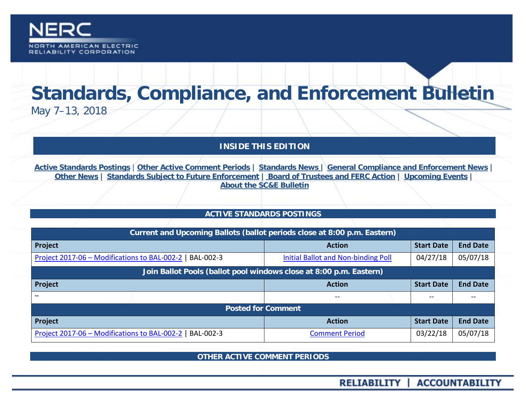

# **Standards, Compliance, and Enforcement Bulletin** May 7–13, 2018

# **INSIDE THIS EDITION**

**Active Standards Postings** | **[Other Active Comment Periods](#page-0-0) | [Standards News](#page-4-0) | [General Compliance and Enforcement News](#page-8-0) | [Other News](#page-8-1) | [Standards Subject to Future Enforcement](#page-9-0) | [Board of Trustees and FERC Action](#page-10-0) | [Upcoming Events](#page-8-1) | [About the SC&E](#page-12-0) Bulletin**

## **ACTIVE STANDARDS POSTINGS**

<span id="page-0-0"></span>

| Current and Upcoming Ballots (ballot periods close at 8:00 p.m. Eastern) |                                     |                   |                 |
|--------------------------------------------------------------------------|-------------------------------------|-------------------|-----------------|
| Project                                                                  | <b>Action</b>                       | <b>Start Date</b> | <b>End Date</b> |
| Project 2017-06 - Modifications to BAL-002-2   BAL-002-3                 | Initial Ballot and Non-binding Poll | 04/27/18          | 05/07/18        |
| Join Ballot Pools (ballot pool windows close at 8:00 p.m. Eastern)       |                                     |                   |                 |
| Project                                                                  | <b>Action</b>                       | <b>Start Date</b> | <b>End Date</b> |
|                                                                          | $- -$                               | $- -$             | $\sim$ $\sim$   |
| <b>Posted for Comment</b>                                                |                                     |                   |                 |
| Project                                                                  | <b>Action</b>                       | <b>Start Date</b> | <b>End Date</b> |
| Project 2017-06 - Modifications to BAL-002-2   BAL-002-3                 | <b>Comment Period</b>               | 03/22/18          | 05/07/18        |

**OTHER ACTIVE COMMENT PERIODS**

RELIABILITY | ACCOUNTABILITY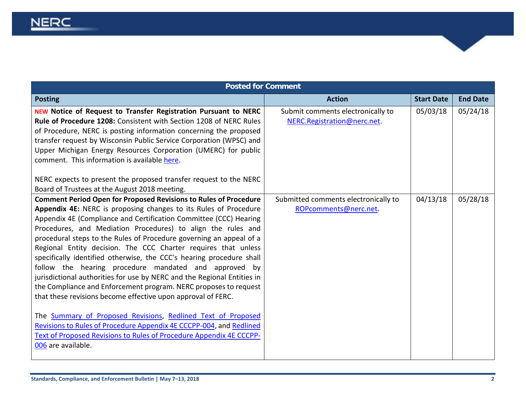| <b>Posted for Comment</b>                                                                                                                                                                                                                                                                                                                                                                                                                                                                                                                                                                                                                                                                                                                                                                                                                                                                                                                                                                                                                                      |                                                                  |                   |                 |
|----------------------------------------------------------------------------------------------------------------------------------------------------------------------------------------------------------------------------------------------------------------------------------------------------------------------------------------------------------------------------------------------------------------------------------------------------------------------------------------------------------------------------------------------------------------------------------------------------------------------------------------------------------------------------------------------------------------------------------------------------------------------------------------------------------------------------------------------------------------------------------------------------------------------------------------------------------------------------------------------------------------------------------------------------------------|------------------------------------------------------------------|-------------------|-----------------|
| <b>Posting</b>                                                                                                                                                                                                                                                                                                                                                                                                                                                                                                                                                                                                                                                                                                                                                                                                                                                                                                                                                                                                                                                 | <b>Action</b>                                                    | <b>Start Date</b> | <b>End Date</b> |
| <b>NEW Notice of Request to Transfer Registration Pursuant to NERC</b><br>Rule of Procedure 1208: Consistent with Section 1208 of NERC Rules<br>of Procedure, NERC is posting information concerning the proposed<br>transfer request by Wisconsin Public Service Corporation (WPSC) and<br>Upper Michigan Energy Resources Corporation (UMERC) for public<br>comment. This information is available here.<br>NERC expects to present the proposed transfer request to the NERC                                                                                                                                                                                                                                                                                                                                                                                                                                                                                                                                                                                | Submit comments electronically to<br>NERC.Registration@nerc.net. | 05/03/18          | 05/24/18        |
| Board of Trustees at the August 2018 meeting.<br><b>Comment Period Open for Proposed Revisions to Rules of Procedure</b><br>Appendix 4E: NERC is proposing changes to its Rules of Procedure<br>Appendix 4E (Compliance and Certification Committee (CCC) Hearing<br>Procedures, and Mediation Procedures) to align the rules and<br>procedural steps to the Rules of Procedure governing an appeal of a<br>Regional Entity decision. The CCC Charter requires that unless<br>specifically identified otherwise, the CCC's hearing procedure shall<br>follow the hearing procedure mandated and approved by<br>jurisdictional authorities for use by NERC and the Regional Entities in<br>the Compliance and Enforcement program. NERC proposes to request<br>that these revisions become effective upon approval of FERC.<br>The Summary of Proposed Revisions, Redlined Text of Proposed<br>Revisions to Rules of Procedure Appendix 4E CCCPP-004, and Redlined<br>Text of Proposed Revisions to Rules of Procedure Appendix 4E CCCPP-<br>006 are available. | Submitted comments electronically to<br>ROPcomments@nerc.net.    | 04/13/18          | 05/28/18        |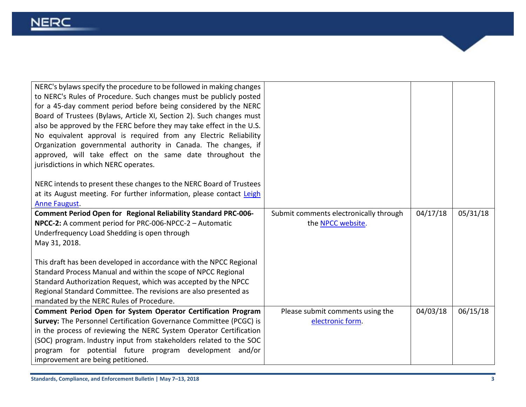| NERC's bylaws specify the procedure to be followed in making changes<br>to NERC's Rules of Procedure. Such changes must be publicly posted<br>for a 45-day comment period before being considered by the NERC<br>Board of Trustees (Bylaws, Article XI, Section 2). Such changes must<br>also be approved by the FERC before they may take effect in the U.S.<br>No equivalent approval is required from any Electric Reliability<br>Organization governmental authority in Canada. The changes, if<br>approved, will take effect on the same date throughout the<br>jurisdictions in which NERC operates.<br>NERC intends to present these changes to the NERC Board of Trustees<br>at its August meeting. For further information, please contact Leigh<br>Anne Faugust. |                                                             |          |          |
|----------------------------------------------------------------------------------------------------------------------------------------------------------------------------------------------------------------------------------------------------------------------------------------------------------------------------------------------------------------------------------------------------------------------------------------------------------------------------------------------------------------------------------------------------------------------------------------------------------------------------------------------------------------------------------------------------------------------------------------------------------------------------|-------------------------------------------------------------|----------|----------|
| <b>Comment Period Open for Regional Reliability Standard PRC-006-</b><br>NPCC-2: A comment period for PRC-006-NPCC-2 - Automatic                                                                                                                                                                                                                                                                                                                                                                                                                                                                                                                                                                                                                                           | Submit comments electronically through<br>the NPCC website. | 04/17/18 | 05/31/18 |
| Underfrequency Load Shedding is open through                                                                                                                                                                                                                                                                                                                                                                                                                                                                                                                                                                                                                                                                                                                               |                                                             |          |          |
| May 31, 2018.                                                                                                                                                                                                                                                                                                                                                                                                                                                                                                                                                                                                                                                                                                                                                              |                                                             |          |          |
| This draft has been developed in accordance with the NPCC Regional<br>Standard Process Manual and within the scope of NPCC Regional<br>Standard Authorization Request, which was accepted by the NPCC<br>Regional Standard Committee. The revisions are also presented as<br>mandated by the NERC Rules of Procedure.                                                                                                                                                                                                                                                                                                                                                                                                                                                      |                                                             |          |          |
| Comment Period Open for System Operator Certification Program                                                                                                                                                                                                                                                                                                                                                                                                                                                                                                                                                                                                                                                                                                              | Please submit comments using the                            | 04/03/18 | 06/15/18 |
| Survey: The Personnel Certification Governance Committee (PCGC) is                                                                                                                                                                                                                                                                                                                                                                                                                                                                                                                                                                                                                                                                                                         | electronic form.                                            |          |          |
| in the process of reviewing the NERC System Operator Certification<br>(SOC) program. Industry input from stakeholders related to the SOC                                                                                                                                                                                                                                                                                                                                                                                                                                                                                                                                                                                                                                   |                                                             |          |          |
| program for potential future program development and/or                                                                                                                                                                                                                                                                                                                                                                                                                                                                                                                                                                                                                                                                                                                    |                                                             |          |          |
| improvement are being petitioned.                                                                                                                                                                                                                                                                                                                                                                                                                                                                                                                                                                                                                                                                                                                                          |                                                             |          |          |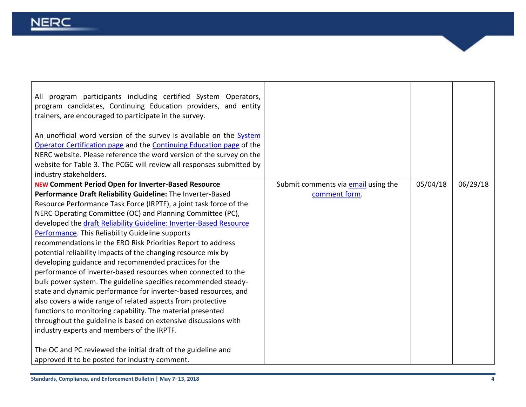| program participants including certified System Operators,<br>All<br>program candidates, Continuing Education providers, and entity<br>trainers, are encouraged to participate in the survey.                                                                                                                         |                                            |          |          |
|-----------------------------------------------------------------------------------------------------------------------------------------------------------------------------------------------------------------------------------------------------------------------------------------------------------------------|--------------------------------------------|----------|----------|
| An unofficial word version of the survey is available on the System<br>Operator Certification page and the Continuing Education page of the<br>NERC website. Please reference the word version of the survey on the<br>website for Table 3. The PCGC will review all responses submitted by<br>industry stakeholders. |                                            |          |          |
| <b>NEW Comment Period Open for Inverter-Based Resource</b>                                                                                                                                                                                                                                                            | Submit comments via <b>email</b> using the | 05/04/18 | 06/29/18 |
| Performance Draft Reliability Guideline: The Inverter-Based                                                                                                                                                                                                                                                           | comment form.                              |          |          |
| Resource Performance Task Force (IRPTF), a joint task force of the                                                                                                                                                                                                                                                    |                                            |          |          |
| NERC Operating Committee (OC) and Planning Committee (PC),                                                                                                                                                                                                                                                            |                                            |          |          |
| developed the draft Reliability Guideline: Inverter-Based Resource                                                                                                                                                                                                                                                    |                                            |          |          |
| Performance. This Reliability Guideline supports                                                                                                                                                                                                                                                                      |                                            |          |          |
| recommendations in the ERO Risk Priorities Report to address                                                                                                                                                                                                                                                          |                                            |          |          |
| potential reliability impacts of the changing resource mix by                                                                                                                                                                                                                                                         |                                            |          |          |
| developing guidance and recommended practices for the                                                                                                                                                                                                                                                                 |                                            |          |          |
| performance of inverter-based resources when connected to the                                                                                                                                                                                                                                                         |                                            |          |          |
| bulk power system. The guideline specifies recommended steady-                                                                                                                                                                                                                                                        |                                            |          |          |
| state and dynamic performance for inverter-based resources, and                                                                                                                                                                                                                                                       |                                            |          |          |
| also covers a wide range of related aspects from protective                                                                                                                                                                                                                                                           |                                            |          |          |
| functions to monitoring capability. The material presented                                                                                                                                                                                                                                                            |                                            |          |          |
| throughout the guideline is based on extensive discussions with                                                                                                                                                                                                                                                       |                                            |          |          |
| industry experts and members of the IRPTF.                                                                                                                                                                                                                                                                            |                                            |          |          |
|                                                                                                                                                                                                                                                                                                                       |                                            |          |          |
| The OC and PC reviewed the initial draft of the guideline and                                                                                                                                                                                                                                                         |                                            |          |          |
| approved it to be posted for industry comment.                                                                                                                                                                                                                                                                        |                                            |          |          |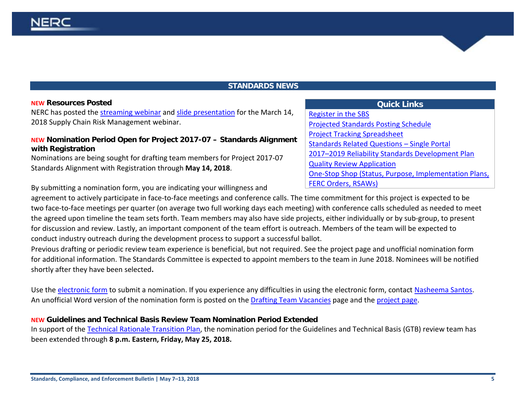## **STANDARDS NEWS**

#### <span id="page-4-0"></span>**NEW Resources Posted**

NERC has posted the [streaming webinar](http://cc.readytalk.com/play?id=dt6f5r) and [slide presentation](https://www.nerc.com/pa/comp/Supply%20Chain%20Webinars%20DL/Supply%20Chain%20Webinar.pdf) for the March 14, 2018 Supply Chain Risk Management webinar.

## **NEW Nomination Period Open for Project 2017-07 – Standards Alignment with Registration**

Nominations are being sought for drafting team members for Project 2017-07 Standards Alignment with Registration through **May 14, 2018**.

# **Quick Links** [Register in the SBS](https://sbs.nerc.net/) [Projected Standards Posting Schedule](http://www.nerc.com/pa/Stand/Documents/Projected_Posting_Schedule.pdf) [Project Tracking Spreadsheet](http://www.nerc.com/comm/SC/_layouts/xlviewer.aspx?id=/comm/SC/Project%20Management%20and%20Oversight%20Subcommittee%20DL/Project%20Tracking%20Spreadsheet.xlsx&Source=http%3A%2F%2Fwww%2Eqa%2Enerc%2Ecom%2Fcomm%2FSC%2FProject%2520Management%2520and%2520Oversi) [Standards Related Questions –](https://www.nerc.com/pa/Stand/Documents/Single_Portal_V2_2017.pdf) Single Portal [2017–2019 Reliability Standards Development Plan](http://www.nerc.com/pa/Stand/Standards%20Development%20Plan%20Library/2017-2019_RSDP_for_Board_09272016.pdf)  [Quality Review Application](https://www.nerc.net/nercsurvey/Survey.aspx?s=bd89c1a0a0da443bbcc2416f868de383) [One-Stop Shop \(Status, Purpose, Implementation Plans,](https://www.nerc.com/pa/Stand/Standard%20Purpose%20Statement%20DL/US_Standard_One-Stop-Shop.xls)  [FERC Orders, RSAWs\)](https://www.nerc.com/pa/Stand/Standard%20Purpose%20Statement%20DL/US_Standard_One-Stop-Shop.xls)

By submitting a nomination form, you are indicating your willingness and

agreement to actively participate in face-to-face meetings and conference calls. The time commitment for this project is expected to be two face-to-face meetings per quarter (on average two full working days each meeting) with conference calls scheduled as needed to meet the agreed upon timeline the team sets forth. Team members may also have side projects, either individually or by sub-group, to present for discussion and review. Lastly, an important component of the team effort is outreach. Members of the team will be expected to conduct industry outreach during the development process to support a successful ballot.

Previous drafting or periodic review team experience is beneficial, but not required. See the project page and unofficial nomination form for additional information. The Standards Committee is expected to appoint members to the team in June 2018. Nominees will be notified shortly after they have been selected**.**

Use the [electronic form](https://www.nerc.net/nercsurvey/Survey.aspx?s=9fca649a096b4a9289cb8e51c611528f) to submit a nomination. If you experience any difficulties in using the electronic form, contact [Nasheema Santos.](mailto:nasheema.santos@nerc.net) An unofficial Word version of the nomination form is posted on the [Drafting Team Vacancies](http://www.nerc.com/pa/Stand/Pages/Drafting-Team-Vacancies.aspx) page and the [project page.](http://www.nerc.com/pa/Stand/Pages/Project201707StandardsAlignmentwithRegistration.aspx)

## **NEW Guidelines and Technical Basis Review Team Nomination Period Extended**

In support of the [Technical Rationale Transition Plan,](http://www.nerc.com/pa/Stand/Technical%20Rationale%20fro%20Reliability%20Standards/Technical%20Rationale%20Transition%20Plan.pdf) the nomination period for the Guidelines and Technical Basis (GTB) review team has been extended through **8 p.m. Eastern, Friday, May 25, 2018.**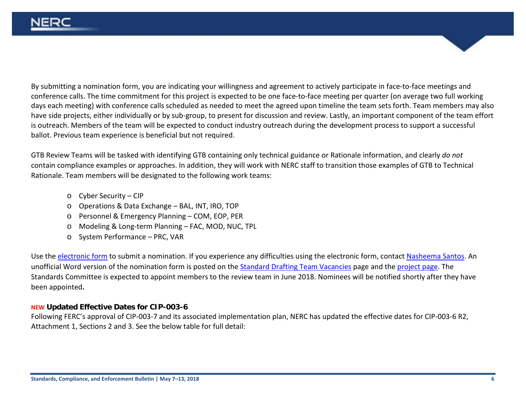By submitting a nomination form, you are indicating your willingness and agreement to actively participate in face-to-face meetings and conference calls. The time commitment for this project is expected to be one face-to-face meeting per quarter (on average two full working days each meeting) with conference calls scheduled as needed to meet the agreed upon timeline the team sets forth. Team members may also have side projects, either individually or by sub-group, to present for discussion and review. Lastly, an important component of the team effort is outreach. Members of the team will be expected to conduct industry outreach during the development process to support a successful ballot. Previous team experience is beneficial but not required.

GTB Review Teams will be tasked with identifying GTB containing only technical guidance or Rationale information, and clearly *do not* contain compliance examples or approaches. In addition, they will work with NERC staff to transition those examples of GTB to Technical Rationale. Team members will be designated to the following work teams:

- o Cyber Security CIP
- o Operations & Data Exchange BAL, INT, IRO, TOP
- o Personnel & Emergency Planning COM, EOP, PER
- o Modeling & Long-term Planning FAC, MOD, NUC, TPL
- o System Performance PRC, VAR

Use the [electronic form](https://www.nerc.net/nercsurvey/Survey.aspx?s=35774f5b251a4c4c87c8d728e93da9f1) to submit a nomination. If you experience any difficulties using the electronic form, contact [Nasheema Santos.](mailto:nasheema.santos@nerc.net) An unofficial Word version of the nomination form is posted on th[e Standard Drafting](http://www.nerc.com/pa/Stand/Pages/Drafting-Team-Vacancies.aspx) Team Vacancies page and the [project page.](http://www.nerc.com/pa/Stand/Pages/TechnicalRationaleforReliabilityStandards.aspx) The Standards Committee is expected to appoint members to the review team in June 2018. Nominees will be notified shortly after they have been appointed**.**

## **NEW Updated Effective Dates for CIP-003-6**

Following FERC's approval of CIP-003-7 and its associated implementation plan, NERC has updated the effective dates for CIP-003-6 R2, Attachment 1, Sections 2 and 3. See the below table for full detail: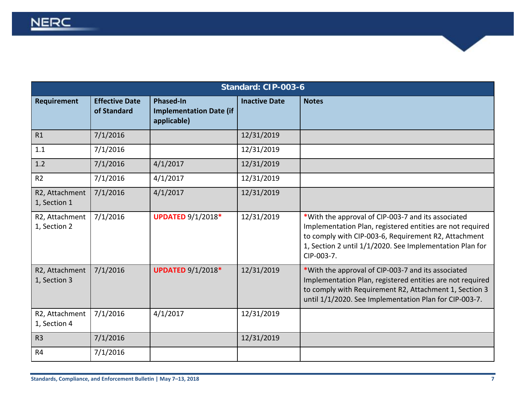| Standard: CIP-003-6            |                                      |                                                                   |                      |                                                                                                                                                                                                                                                   |
|--------------------------------|--------------------------------------|-------------------------------------------------------------------|----------------------|---------------------------------------------------------------------------------------------------------------------------------------------------------------------------------------------------------------------------------------------------|
| Requirement                    | <b>Effective Date</b><br>of Standard | <b>Phased-In</b><br><b>Implementation Date (if</b><br>applicable) | <b>Inactive Date</b> | <b>Notes</b>                                                                                                                                                                                                                                      |
| R1                             | 7/1/2016                             |                                                                   | 12/31/2019           |                                                                                                                                                                                                                                                   |
| 1.1                            | 7/1/2016                             |                                                                   | 12/31/2019           |                                                                                                                                                                                                                                                   |
| 1.2                            | 7/1/2016                             | 4/1/2017                                                          | 12/31/2019           |                                                                                                                                                                                                                                                   |
| R <sub>2</sub>                 | 7/1/2016                             | 4/1/2017                                                          | 12/31/2019           |                                                                                                                                                                                                                                                   |
| R2, Attachment<br>1, Section 1 | 7/1/2016                             | 4/1/2017                                                          | 12/31/2019           |                                                                                                                                                                                                                                                   |
| R2, Attachment<br>1, Section 2 | 7/1/2016                             | <b>UPDATED 9/1/2018*</b>                                          | 12/31/2019           | *With the approval of CIP-003-7 and its associated<br>Implementation Plan, registered entities are not required<br>to comply with CIP-003-6, Requirement R2, Attachment<br>1, Section 2 until 1/1/2020. See Implementation Plan for<br>CIP-003-7. |
| R2, Attachment<br>1, Section 3 | 7/1/2016                             | <b>UPDATED 9/1/2018*</b>                                          | 12/31/2019           | *With the approval of CIP-003-7 and its associated<br>Implementation Plan, registered entities are not required<br>to comply with Requirement R2, Attachment 1, Section 3<br>until 1/1/2020. See Implementation Plan for CIP-003-7.               |
| R2, Attachment<br>1, Section 4 | 7/1/2016                             | 4/1/2017                                                          | 12/31/2019           |                                                                                                                                                                                                                                                   |
| R <sub>3</sub>                 | 7/1/2016                             |                                                                   | 12/31/2019           |                                                                                                                                                                                                                                                   |
| R4                             | 7/1/2016                             |                                                                   |                      |                                                                                                                                                                                                                                                   |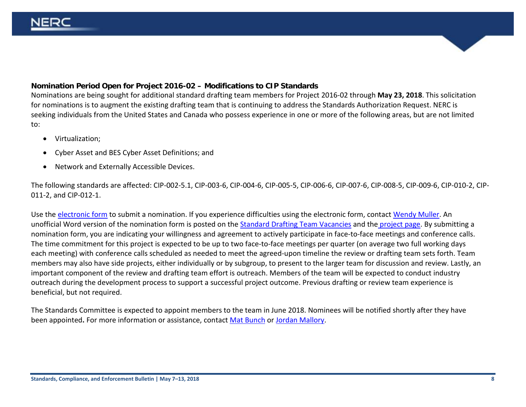## **Nomination Period Open for Project 2016-02 – Modifications to CIP Standards**

Nominations are being sought for additional standard drafting team members for Project 2016-02 through **May 23, 2018**. This solicitation for nominations is to augment the existing drafting team that is continuing to address the Standards Authorization Request. NERC is seeking individuals from the United States and Canada who possess experience in one or more of the following areas, but are not limited to:

- Virtualization;
- Cyber Asset and BES Cyber Asset Definitions; and
- Network and Externally Accessible Devices.

The following standards are affected: CIP-002-5.1, CIP-003-6, CIP-004-6, CIP-005-5, CIP-006-6, CIP-007-6, CIP-008-5, CIP-009-6, CIP-010-2, CIP-011-2, and CIP-012-1.

Use the [electronic form](https://nerc.checkboxonline.com/Survey.aspx?s=1b026c1ff74d429bbae396ed9a30f730) to submit a nomination. If you experience difficulties using the electronic form, contact [Wendy Muller.](mailto:wendy.muller@nerc.net) An unofficial Word version of the nomination form is posted on th[e Standard Drafting Team Vacancies](http://www.nerc.com/pa/Stand/Pages/Drafting-Team-Vacancies.aspx) and the [project page.](http://www.nerc.com/pa/Stand/Pages/Project%202016-02%20Modifications%20to%20CIP%20Standards.aspx) By submitting a nomination form, you are indicating your willingness and agreement to actively participate in face-to-face meetings and conference calls. The time commitment for this project is expected to be up to two face-to-face meetings per quarter (on average two full working days each meeting) with conference calls scheduled as needed to meet the agreed-upon timeline the review or drafting team sets forth. Team members may also have side projects, either individually or by subgroup, to present to the larger team for discussion and review. Lastly, an important component of the review and drafting team effort is outreach. Members of the team will be expected to conduct industry outreach during the development process to support a successful project outcome. Previous drafting or review team experience is beneficial, but not required.

The Standards Committee is expected to appoint members to the team in June 2018. Nominees will be notified shortly after they have been appointed**.** For more information or assistance, contact [Mat Bunch](mailto:mat.bunch@nerc.net) or [Jordan Mallory.](mailto:jordan.mallory@nerc.net)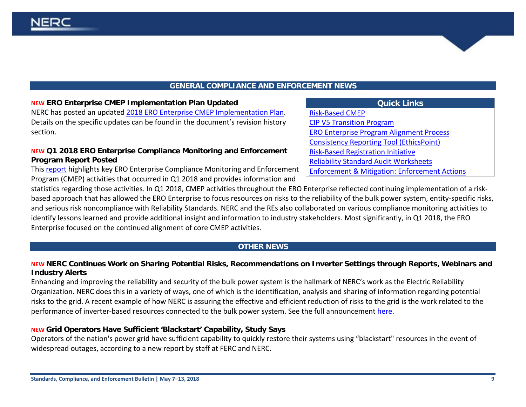IERC

## **GENERAL COMPLIANCE AND ENFORCEMENT NEWS**

## <span id="page-8-0"></span>**NEW ERO Enterprise CMEP Implementation Plan Updated**

NERC has posted an updated [2018 ERO Enterprise CMEP Implementation Plan.](https://www.nerc.com/pa/comp/Reliability%20Assurance%20Initiative/2018_ERO_CMEP_Implementation%20Plan_V2.1_May_2018.pdf) Details on the specific updates can be found in the document's revision history section.

## **NEW Q1 2018 ERO Enterprise Compliance Monitoring and Enforcement Program Report Posted**

This [report](https://www.nerc.com/gov/bot/BOTCC/Compliance%20Committee%202013/Compliance%20Committee%20Open%20Meeting%20-%20May%209%202018.pdf) highlights key ERO Enterprise Compliance Monitoring and Enforcement Program (CMEP) activities that occurred in Q1 2018 and provides information and

statistics regarding those activities. In Q1 2018, CMEP activities throughout the ERO Enterprise reflected continuing implementation of a riskbased approach that has allowed the ERO Enterprise to focus resources on risks to the reliability of the bulk power system, entity-specific risks, and serious risk noncompliance with Reliability Standards. NERC and the REs also collaborated on various compliance monitoring activities to identify lessons learned and provide additional insight and information to industry stakeholders. Most significantly, in Q1 2018, the ERO Enterprise focused on the continued alignment of core CMEP activities.

# **OTHER NEWS**

# <span id="page-8-1"></span>**NEW NERC Continues Work on Sharing Potential Risks, Recommendations on Inverter Settings through Reports, Webinars and Industry Alerts**

Enhancing and improving the reliability and security of the bulk power system is the hallmark of NERC's work as the Electric Reliability Organization. NERC does this in a variety of ways, one of which is the identification, analysis and sharing of information regarding potential risks to the grid. A recent example of how NERC is assuring the effective and efficient reduction of risks to the grid is the work related to the performance of inverter-based resources connected to the bulk power system. See the full announcement [here.](https://www.nerc.com/news/Documents/Inverter%20Alert%20Announcement.pdf)

# **NEW Grid Operators Have Sufficient 'Blackstart' Capability, Study Says**

Operators of the nation's power grid have sufficient capability to quickly restore their systems using "blackstart" resources in the event of widespread outages, according to a new report by staff at FERC and NERC.

# **Quick Links** [Risk-Based CMEP](http://www.nerc.com/pa/comp/Pages/Reliability-Assurance-Initiative.aspx)  [CIP V5 Transition Program](http://www.nerc.com/pa/CI/Pages/Transition-Program.aspx) [ERO Enterprise Program Alignment Process](http://www.nerc.com/pa/comp/Pages/EROEnterProAlign.aspx) [Consistency Reporting Tool \(EthicsPoint\)](https://secure.ethicspoint.com/domain/media/en/gui/51749/index.html) [Risk-Based Registration Initiative](http://www.nerc.com/pa/comp/CAC/Pages/Risk-Based%20Registration.aspx) [Reliability Standard Audit Worksheets](http://www.nerc.com/pa/comp/Pages/Reliability-Standard-Audit-Worksheets-(RSAWs).aspx) [Enforcement & Mitigation: Enforcement Actions](http://www.nerc.com/pa/comp/CE/Pages/Enforcement-and-Mitigation.aspx)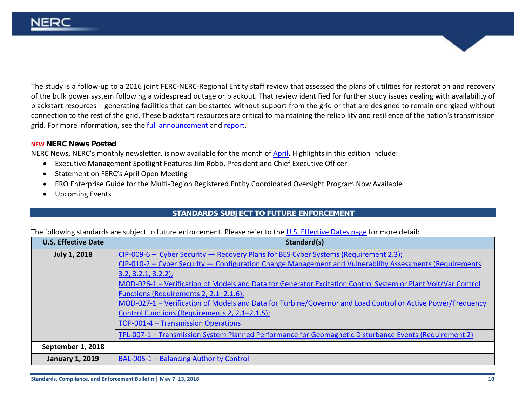The study is a follow-up to a 2016 joint FERC-NERC-Regional Entity staff review that assessed the plans of utilities for restoration and recovery of the bulk power system following a widespread outage or blackout. That review identified for further study issues dealing with availability of blackstart resources – generating facilities that can be started without support from the grid or that are designed to remain energized without connection to the rest of the grid. These blackstart resources are critical to maintaining the reliability and resilience of the nation's transmission grid. For more information, see the [full announcement](https://auth.internal.nerc.com/news/Documents/FERC-NERC%20blackstart050218.pdf) and [report.](https://www.ferc.gov/legal/staff-reports/2018/bsr-report.pdf)

#### **NEW NERC News Posted**

NERC News, NERC's monthly newsletter, is now available for the month of **April**. Highlights in this edition include:

- Executive Management Spotlight Features Jim Robb, President and Chief Executive Officer
- Statement on FERC's April Open Meeting
- ERO Enterprise Guide for the Multi-Region Registered Entity Coordinated Oversight Program Now Available
- Upcoming Events

## <span id="page-9-0"></span>**STANDARDS SUBJECT TO FUTURE ENFORCEMENT**

The following standards are subject to future enforcement. Please refer to the [U.S. Effective](http://www.nerc.net/standardsreports/standardssummary.aspx) Dates page for more detail:

| <b>U.S. Effective Date</b> | Standard(s)                                                                                                   |
|----------------------------|---------------------------------------------------------------------------------------------------------------|
| <b>July 1, 2018</b>        | $CIP-009-6$ – Cyber Security – Recovery Plans for BES Cyber Systems (Requirement 2.3);                        |
|                            | CIP-010-2 – Cyber Security – Configuration Change Management and Vulnerability Assessments (Requirements      |
|                            | $3.2, 3.2.1, 3.2.2$ ;                                                                                         |
|                            | MOD-026-1 - Verification of Models and Data for Generator Excitation Control System or Plant Volt/Var Control |
|                            | Functions (Requirements 2, 2.1-2.1.6);                                                                        |
|                            | MOD-027-1 - Verification of Models and Data for Turbine/Governor and Load Control or Active Power/Frequency   |
|                            | Control Functions (Requirements 2, 2.1-2.1.5);                                                                |
|                            | TOP-001-4 - Transmission Operations                                                                           |
|                            | TPL-007-1 - Transmission System Planned Performance for Geomagnetic Disturbance Events (Requirement 2)        |
| September 1, 2018          |                                                                                                               |
| <b>January 1, 2019</b>     | <b>BAL-005-1 - Balancing Authority Control</b>                                                                |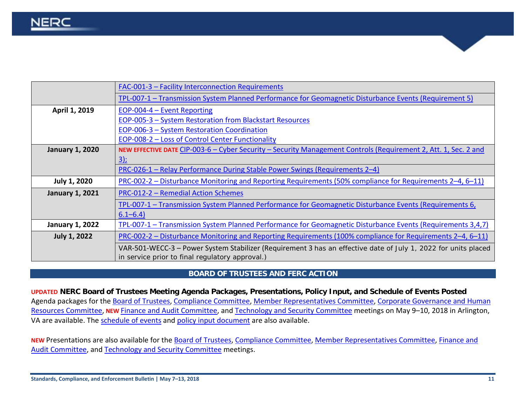|                        | FAC-001-3 - Facility Interconnection Requirements                                                                                                                 |
|------------------------|-------------------------------------------------------------------------------------------------------------------------------------------------------------------|
|                        | TPL-007-1 – Transmission System Planned Performance for Geomagnetic Disturbance Events (Requirement 5)                                                            |
| April 1, 2019          | EOP-004-4 - Event Reporting                                                                                                                                       |
|                        | EOP-005-3 - System Restoration from Blackstart Resources                                                                                                          |
|                        | <b>EOP-006-3 - System Restoration Coordination</b>                                                                                                                |
|                        | EOP-008-2 – Loss of Control Center Functionality                                                                                                                  |
| <b>January 1, 2020</b> | NEW EFFECTIVE DATE CIP-003-6 – Cyber Security – Security Management Controls (Requirement 2, Att. 1, Sec. 2 and                                                   |
|                        | $3$ :                                                                                                                                                             |
|                        | PRC-026-1 - Relay Performance During Stable Power Swings (Requirements 2-4)                                                                                       |
| <b>July 1, 2020</b>    | PRC-002-2 – Disturbance Monitoring and Reporting Requirements (50% compliance for Requirements 2–4, 6–11)                                                         |
| <b>January 1, 2021</b> | PRC-012-2 - Remedial Action Schemes                                                                                                                               |
|                        | TPL-007-1 – Transmission System Planned Performance for Geomagnetic Disturbance Events (Requirements 6,                                                           |
|                        | $6.1 - 6.4$                                                                                                                                                       |
| <b>January 1, 2022</b> | TPL-007-1 - Transmission System Planned Performance for Geomagnetic Disturbance Events (Requirements 3,4,7)                                                       |
| <b>July 1, 2022</b>    | PRC-002-2 – Disturbance Monitoring and Reporting Requirements (100% compliance for Requirements 2–4, 6–11)                                                        |
|                        | VAR-501-WECC-3 – Power System Stabilizer (Requirement 3 has an effective date of July 1, 2022 for units placed<br>in service prior to final regulatory approval.) |

## **BOARD OF TRUSTEES AND FERC ACTION**

<span id="page-10-0"></span>**UPDATED NERC Board of Trustees Meeting Agenda Packages, Presentations, Policy Input, and Schedule of Events Posted** Agenda packages for the [Board of Trustees,](https://www.nerc.com/gov/bot/Agenda%20highlights%20and%20Mintues%202013/Board_Meeting_Agenda_Package_May_10_2018.pdf) [Compliance Committee,](https://www.nerc.com/gov/bot/BOTCC/Compliance%20Committee%202013/Compliance%20Committee%20Open%20Meeting%20-%20May%209%202018.pdf) [Member Representatives Committee,](https://www.nerc.com/gov/bot/MRC/Agenda%20Highlights%20nad%20Minutes%202013/MRC_Agenda_Package_May_2018.pdf) Corporate Governance and Human [Resources Committee,](https://www.nerc.com/gov/bot/GOV/Board%20of%20Trustees%20Governance%202013/CGHRC_Open_Meeting_Agenda_Package_May_3_2018_PUBLIC%20new.pdf) **NEW** [Finance and Audit Committee,](https://www.nerc.com/gov/bot/FINANCE/2013%20Finance%20and%20Audit%20Committee%20DL/FAC_Open_Meeting_Agenda_Package_May_9_2018.pdf) and [Technology and Security Committee](https://www.nerc.com/gov/bot/bottsc/Agendas%20Highlights%20and%20Minutes/TSC_Agenda_Package_May_9_2018.pdf) meetings on May 9–10, 2018 in Arlington, VA are available. The [schedule of events](https://www.nerc.com/gov/bot/Agenda%20highlights%20and%20Mintues%202013/Schedule%20of%20Events--PUBLIC-May%202018.pdf) and [policy input document](https://www.nerc.com/gov/bot/Agenda%20highlights%20and%20Mintues%202013/Policy_Input_Package_May_2018-PUBLIC-POSTING.pdf) are also available.

NEW Presentations are also available for the [Board of Trustees,](https://www.nerc.com/gov/bot/Agenda%20highlights%20and%20Mintues%202013/BOT_Meeting_Presentations_May_10_2018_POSTING.pdf) [Compliance Committee,](https://www.nerc.com/gov/bot/BOTCC/Compliance%20Committee%202013/BOTCC_Open_Presentations_POSTING.pdf) [Member Representatives Committee,](https://www.nerc.com/gov/bot/MRC/Agenda%20Highlights%20nad%20Minutes%202013/MRC_Presentation_Package_May_9_2018.pdf) Finance and [Audit Committee,](https://www.nerc.com/gov/bot/FINANCE/2013%20Finance%20and%20Audit%20Committee%20DL/FAC_Open_Meeting_Agenda_Package_May_9_2018.pdf) and [Technology and Security Committee](https://www.nerc.com/gov/bot/bottsc/Agendas%20Highlights%20and%20Minutes/TSC_Presentations_May_2018_POSTING.pdf) meetings.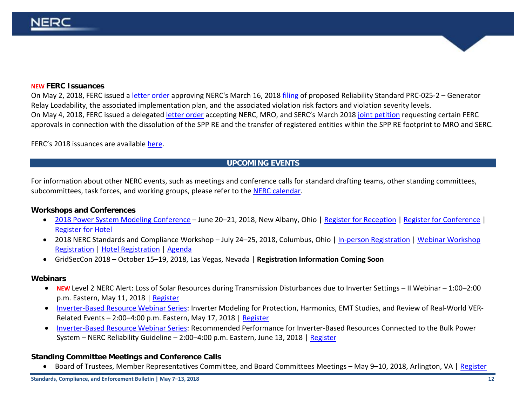#### **NEW FERC Issuances**

On May 2, 2018, FERC issued a [letter order](https://www.nerc.com/FilingsOrders/us/FERCOrdersRules/Delegated%20Order%20Approving%20PRC-025-2_RD18-4.pdf) approving NERC's March 16, 2018 [filing](https://www.nerc.com/FilingsOrders/us/NERC%20Filings%20to%20FERC%20DL/Petition%20for%20Approval%20of%20PRC-025-2.pdf) of proposed Reliability Standard PRC-025-2 – Generator Relay Loadability, the associated implementation plan, and the associated violation risk factors and violation severity levels. On May 4, 2018, FERC issued a delegated [letter order](https://www.nerc.com/FilingsOrders/us/FERCOrdersRules/Order%20Granting%20Approvals%20in%20Connection%20with%20the%20Dissolution%20of%20the%20SPP%20RE.pdf) accepting NERC, MRO, and SERC's March 201[8 joint petition](https://www.nerc.com/FilingsOrders/us/NERC%20Filings%20to%20FERC%20DL/SPP%20Dissolution%20Petition.pdf) requesting certain FERC approvals in connection with the dissolution of the SPP RE and the transfer of registered entities within the SPP RE footprint to MRO and SERC.

FERC's 2018 issuances are available [here.](http://www.nerc.com/FilingsOrders/us/Pages/2018FERCOrdersRules.aspx)

## **UPCOMING EVENTS**

For information about other NERC events, such as meetings and conference calls for standard drafting teams, other standing committees, subcommittees, task forces, and working groups, please refer to the [NERC calendar.](http://www.nerc.com/Pages/Calendar.aspx)

## **Workshops and Conferences**

- [2018 Power System Modeling Conference](https://www.nerc.com/comm/PC/Documents/2018_NERC-NATF-EPRI_Modeling_Conference_Flyer_-_2018-03-22.pdf) June 20–21, 2018, New Albany, Ohio | [Register for Reception](https://www.eventbrite.com/e/2018-nerc-natf-epri-modeling-conference-evening-reception-registration-44601907506) [| Register for Conference](https://www.eventbrite.com/e/2018-nerc-natf-epri-modeling-conference-registration-43435495737) | [Register for Hotel](https://auth.internal.nerc.com/comm/PC/Documents/AEP_Transmission_Direction_from_the_Airport_and_Hotel_Information.pdf)
- 2018 NERC Standards and Compliance Workshop July 24–25, 2018, Columbus, Ohio | [In-person Registration](https://www.eventbrite.com/e/2018-standards-and-compliance-workshop-in-person-only-registration-42504237318) | Webinar Workshop [Registration](https://www.eventbrite.com/e/2018-standards-and-compliance-workshop-webinar-only-registration-44751260224) [| Hotel Registration](https://aws.passkey.com/go/2018NERC) | [Agenda](https://nerc.com/pa/Stand/Workshops/Draft_Agenda_2018.pdf)
- GridSecCon 2018 **–** October 15–19, 2018, Las Vegas, Nevada | **Registration Information Coming Soon**

## **Webinars**

- **NEW** Level 2 NERC Alert: Loss of Solar Resources during Transmission Disturbances due to Inverter Settings II Webinar 1:00–2:00 p.m. Eastern, May 11, 2018 | [Register](https://nerc.webex.com/nerc/onstage/g.php?MTID=ef55848f519117fbb92a9564c2bed4f66)
- [Inverter-Based Resource Webinar Series:](http://www.nerc.com/comm/PC/Documents/Inverter_Based_Resources_Webinar_Series_Flyer-draft_02.05.18.pdf) Inverter Modeling for Protection, Harmonics, EMT Studies, and Review of Real-World VER-Related Events – 2:00–4:00 p.m. Eastern, May 17, 2018 | [Register](https://epri.webex.com/epri/j.php?MTID=m595deb5297abbf79963b5d23473bb5a1)
- [Inverter-Based Resource Webinar Series:](http://www.nerc.com/comm/PC/Documents/Inverter_Based_Resources_Webinar_Series_Flyer-draft_02.05.18.pdf) Recommended Performance for Inverter-Based Resources Connected to the Bulk Power System – NERC Reliability Guideline – 2:00–4:00 p.m. Eastern, June 13, 2018 [| Register](https://epri.webex.com/epri/j.php?MTID=m9a81a6d3749132174139e2cee625b2d4)

## **Standing Committee Meetings and Conference Calls**

• Board of Trustees, Member Representatives Committee, and Board Committees Meetings – May 9–10, 2018, Arlington, VA | [Register](https://www.eventbrite.com/e/nerc-board-of-trustees-and-member-representatives-committee-meetings-registration-43484337825)